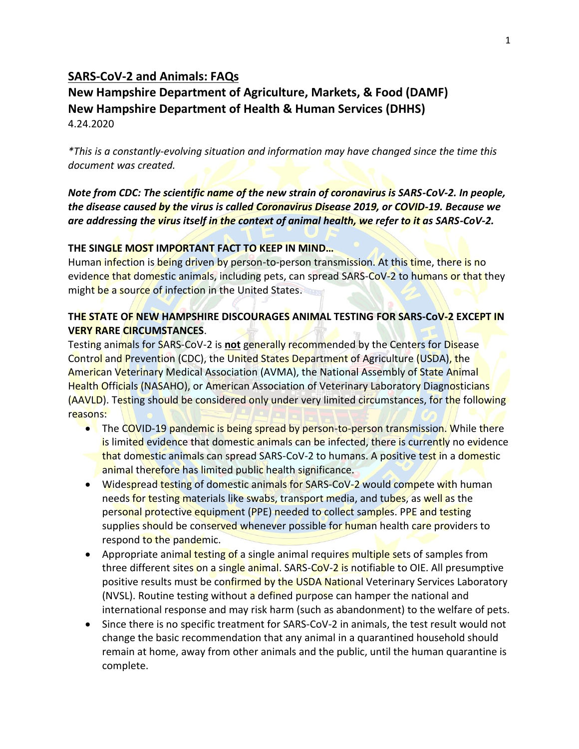#### **SARS-CoV-2 and Animals: FAQs**

# **New Hampshire Department of Agriculture, Markets, & Food (DAMF) New Hampshire Department of Health & Human Services (DHHS)** 4.24.2020

*\*This is a constantly-evolving situation and information may have changed since the time this document was created.*

*Note from CDC: The scientific name of the new strain of coronavirus is SARS-CoV-2. In people, the disease caused by the virus is called Coronavirus Disease 2019, or COVID-19. Because we are addressing the virus itself in the context of animal health, we refer to it as SARS-CoV-2.*

#### **THE SINGLE MOST IMPORTANT FACT TO KEEP IN MIND…**

Human infection is being driven by person-to-person transmission. At this time, there is no evidence that domestic animals, including pets, can spread SARS-CoV-2 to humans or that they might be a source of infection in the United States.

#### **THE STATE OF NEW HAMPSHIRE DISCOURAGES ANIMAL TESTING FOR SARS-CoV-2 EXCEPT IN VERY RARE CIRCUMSTANCES**.

Testing animals for SARS-CoV-2 is **not** generally recommended by the Centers for Disease Control and Prevention (CDC), the United States Department of Agriculture (USDA), the American Veterinary Medical Association (AVMA), the National Assembly of State Animal Health Officials (NASAHO), or American Association of Veterinary Laboratory Diagnosticians (AAVLD). Testing should be considered only under very limited circumstances, for the following reasons:

- The COVID-19 pandemic is being spread by person-to-person transmission. While there is limited evidence that domestic animals can be infected, there is currently no evidence that domestic animals can spread SARS-CoV-2 to humans. A positive test in a domestic animal therefore has limited public health significance.
- Widespread testing of domestic animals for SARS-CoV-2 would compete with human needs for testing materials like swabs, transport media, and tubes, as well as the personal protective equipment (PPE) needed to collect samples. PPE and testing supplies should be conserved whenever possible for human health care providers to respond to the pandemic.
- Appropriate animal testing of a single animal requires multiple sets of samples from three different sites on a single animal. SARS-CoV-2 is notifiable to OIE. All presumptive positive results must be confirmed by the USDA National Veterinary Services Laboratory (NVSL). Routine testing without a defined purpose can hamper the national and international response and may risk harm (such as abandonment) to the welfare of pets.
- Since there is no specific treatment for SARS-CoV-2 in animals, the test result would not change the basic recommendation that any animal in a quarantined household should remain at home, away from other animals and the public, until the human quarantine is complete.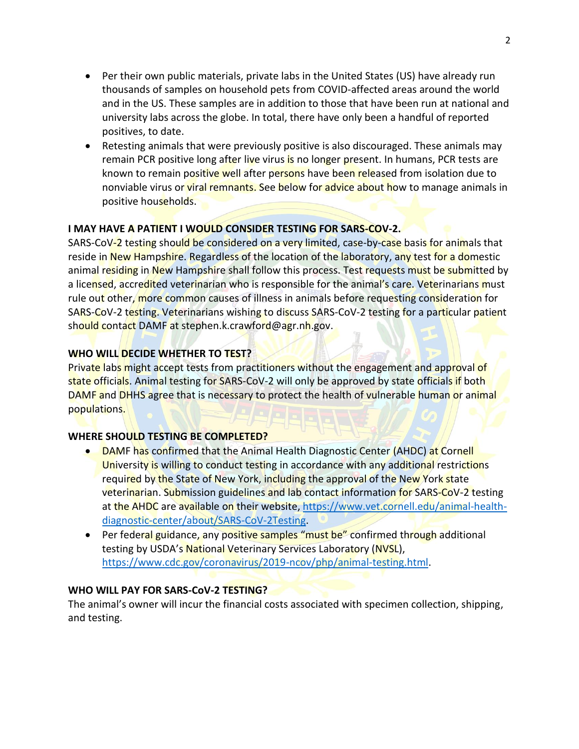- Per their own public materials, private labs in the United States (US) have already run thousands of samples on household pets from COVID-affected areas around the world and in the US. These samples are in addition to those that have been run at national and university labs across the globe. In total, there have only been a handful of reported positives, to date.
- Retesting animals that were previously positive is also discouraged. These animals may remain PCR positive long after live virus is no longer present. In humans, PCR tests are known to remain positive well after persons have been released from isolation due to nonviable virus or viral remnants. See below for advice about how to manage animals in positive households.

#### **I MAY HAVE A PATIENT I WOULD CONSIDER TESTING FOR SARS-COV-2.**

SARS-CoV-2 testing should be considered on a very limited, case-by-case basis for animals that reside in New Hampshire. Regardless of the location of the laboratory, any test for a domestic animal residing in New Hampshire shall follow this process. Test requests must be submitted by a licensed, accredited veterinarian who is responsible for the animal's care. Veterinarians must rule out other, more common causes of illness in animals before requesting consideration for SARS-CoV-2 testing. Veterinarians wishing to discuss SARS-CoV-2 testing for a particular patient should contact DAMF at stephen.k.crawford@agr.nh.gov.

# **WHO WILL DECIDE WHETHER TO TEST?**

Private labs might accept tests from practitioners without the engagement and approval of state officials. Animal testing for SARS-CoV-2 will only be approved by state officials if both DAMF and DHHS agree that is necessary to protect the health of vulnerable human or animal populations.

#### **WHERE SHOULD TESTING BE COMPLETED?**

- DAMF has confirmed that the Animal Health Diagnostic Center (AHDC) at Cornell University is willing to conduct testing in accordance with any additional restrictions required by the State of New York, including the approval of the New York state veterinarian. Submission guidelines and lab contact information for SARS-CoV-2 testing at the AHDC are available on their website, [https://www.vet.cornell.edu/animal-health](https://urldefense.com/v3/__https:/www.vet.cornell.edu/animal-health-diagnostic-center/about/SARS-CoV-2Testing__;!!Oai6dtTQULp8Sw!F9EkOlLaQsbWdtQGfAPz1nHh8Jzsx0OG6zNO6HZRIBS9EO70EMaXF6ShDFsijhNegs3dbswXAVQ$)[diagnostic-center/about/SARS-CoV-2Testing.](https://urldefense.com/v3/__https:/www.vet.cornell.edu/animal-health-diagnostic-center/about/SARS-CoV-2Testing__;!!Oai6dtTQULp8Sw!F9EkOlLaQsbWdtQGfAPz1nHh8Jzsx0OG6zNO6HZRIBS9EO70EMaXF6ShDFsijhNegs3dbswXAVQ$)
- Per federal guidance, any positive samples "must be" confirmed through additional testing by USDA's National Veterinary Services Laboratory (NVSL), [https://www.cdc.gov/coronavirus/2019-ncov/php/animal-testing.html.](https://www.cdc.gov/coronavirus/2019-ncov/php/animal-testing.html)

#### **WHO WILL PAY FOR SARS-CoV-2 TESTING?**

The animal's owner will incur the financial costs associated with specimen collection, shipping, and testing.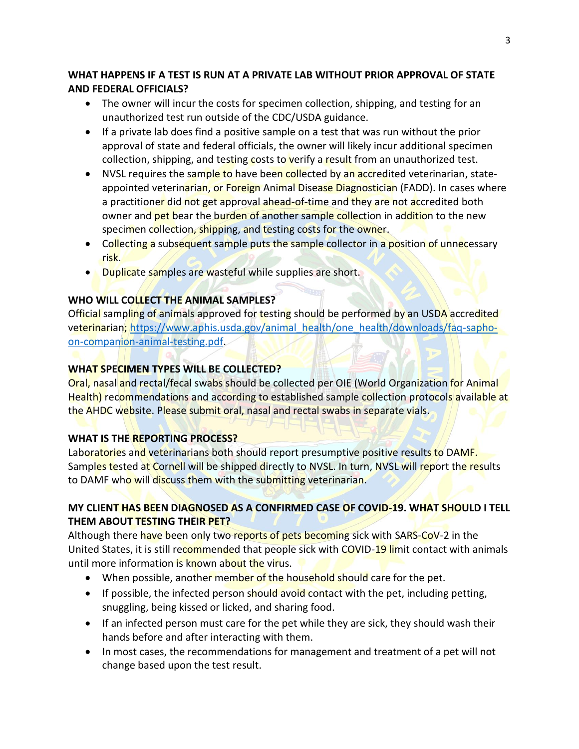# **WHAT HAPPENS IF A TEST IS RUN AT A PRIVATE LAB WITHOUT PRIOR APPROVAL OF STATE AND FEDERAL OFFICIALS?**

- The owner will incur the costs for specimen collection, shipping, and testing for an unauthorized test run outside of the CDC/USDA guidance.
- If a private lab does find a positive sample on a test that was run without the prior approval of state and federal officials, the owner will likely incur additional specimen collection, shipping, and testing costs to verify a result from an unauthorized test.
- NVSL requires the sample to have been collected by an accredited veterinarian, stateappointed veterinarian, or Foreign Animal Disease Diagnostician (FADD). In cases where a practitioner did not get approval ahead-of-time and they are not accredited both owner and pet bear the burden of another sample collection in addition to the new specimen collection, shipping, and testing costs for the owner.
- Collecting a subsequent sample puts the sample collector in a position of unnecessary risk.
- Duplicate samples are wasteful while supplies are short.

# **WHO WILL COLLECT THE ANIMAL SAMPLES?**

Official sampling of animals approved for testing should be performed by an USDA accredited veterinarian; [https://www.aphis.usda.gov/animal\\_health/one\\_health/downloads/faq-sapho](https://www.aphis.usda.gov/animal_health/one_health/downloads/faq-sapho-on-companion-animal-testing.pdf)[on-companion-animal-testing.pdf.](https://www.aphis.usda.gov/animal_health/one_health/downloads/faq-sapho-on-companion-animal-testing.pdf)

# **WHAT SPECIMEN TYPES WILL BE COLLECTED?**

Oral, nasal and rectal/fecal swabs should be collected per OIE (World Organization for Animal Health) recommendations and according to established sample collection protocols available at the AHDC website. Please submit oral, nasal and rectal swabs in separate vials.

#### **WHAT IS THE REPORTING PROCESS?**

Laboratories and veterinarians both should report presumptive positive results to DAMF. Samples tested at Cornell will be shipped directly to NVSL. In turn, NVSL will report the results to DAMF who will discuss them with the submitting veterinarian.

# **MY CLIENT HAS BEEN DIAGNOSED AS A CONFIRMED CASE OF COVID-19. WHAT SHOULD I TELL THEM ABOUT TESTING THEIR PET?**

Although there have been only two reports of pets becoming sick with SARS-CoV-2 in the United States, it is still recommended that people sick with COVID-19 limit contact with animals until more information is known about the virus.

- When possible, another member of the household should care for the pet.
- $\bullet$  If possible, the infected person should avoid contact with the pet, including petting, snuggling, being kissed or licked, and sharing food.
- If an infected person must care for the pet while they are sick, they should wash their hands before and after interacting with them.
- In most cases, the recommendations for management and treatment of a pet will not change based upon the test result.